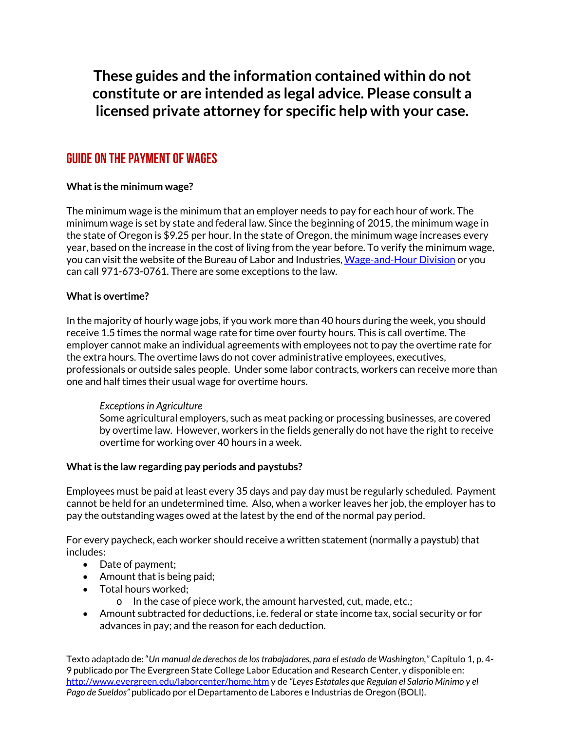**These guides and the information contained within do not constitute or are intended as legal advice. Please consult a licensed private attorney for specific help with your case.**

# Guide on the payment of wages

# **What is the minimum wage?**

The minimum wage is the minimum that an employer needs to pay for each hour of work. The minimum wage is set by state and federal law. Since the beginning of 2015, the minimum wage in the state of Oregon is \$9.25 per hour. In the state of Oregon, the minimum wage increases every year, based on the increase in the cost of living from the year before. To verify the minimum wage, you can visit the website of the Bureau of Labor and Industries[, Wage-and-Hour Division](http://www.oregon.gov/boli/whd) or you can call 971-673-0761. There are some exceptions to the law.

### **What is overtime?**

In the majority of hourly wage jobs, if you work more than 40 hours during the week, you should receive 1.5 times the normal wage rate for time over fourty hours. This is call overtime. The employer cannot make an individual agreements with employees not to pay the overtime rate for the extra hours. The overtime laws do not cover administrative employees, executives, professionals or outside sales people. Under some labor contracts, workers can receive more than one and half times their usual wage for overtime hours.

#### *Exceptions in Agriculture*

Some agricultural employers, such as meat packing or processing businesses, are covered by overtime law. However, workers in the fields generally do not have the right to receive overtime for working over 40 hours in a week.

#### **What is the law regarding pay periods and paystubs?**

Employees must be paid at least every 35 days and pay day must be regularly scheduled. Payment cannot be held for an undetermined time. Also, when a worker leaves her job, the employer has to pay the outstanding wages owed at the latest by the end of the normal pay period.

For every paycheck, each worker should receive a written statement (normally a paystub) that includes:

- Date of payment;
- Amount that is being paid;
- Total hours worked;
	- o In the case of piece work, the amount harvested, cut, made, etc.;
- Amount subtracted for deductions, i.e. federal or state income tax, social security or for advances in pay; and the reason for each deduction.

Texto adaptado de: "*Un manual de derechos de los trabajadores, para el estado de Washington,"* Capítulo 1, p. 4- 9 publicado por The Evergreen State College Labor Education and Research Center, y disponible en: <http://www.evergreen.edu/laborcenter/home.htm> y de *"Leyes Estatales que Regulan el Salario Mínimo y el Pago de Sueldos"* publicado por el Departamento de Labores e Industrias de Oregon (BOLI).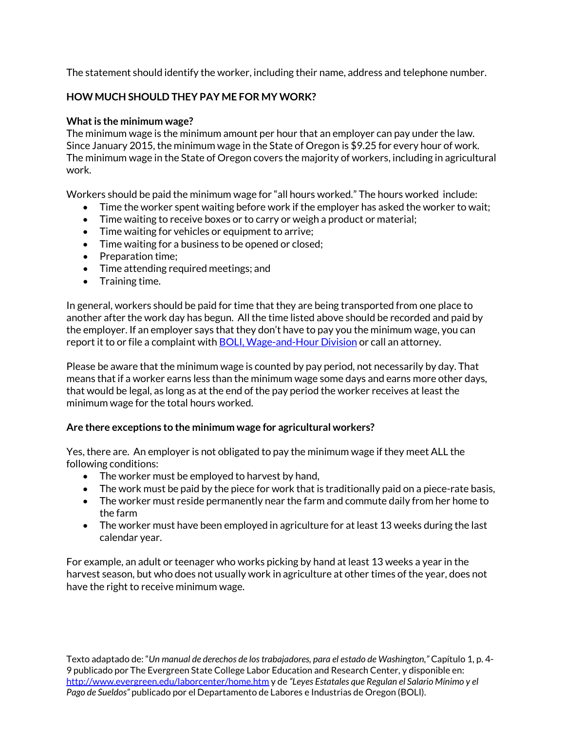The statement should identify the worker, including their name, address and telephone number.

# **HOW MUCH SHOULD THEY PAY ME FOR MY WORK?**

## **What is the minimum wage?**

The minimum wage is the minimum amount per hour that an employer can pay under the law. Since January 2015, the minimum wage in the State of Oregon is \$9.25 for every hour of work. The minimum wage in the State of Oregon covers the majority of workers, including in agricultural work.

Workers should be paid the minimum wage for "all hours worked." The hours worked include:

- Time the worker spent waiting before work if the employer has asked the worker to wait;
- Time waiting to receive boxes or to carry or weigh a product or material;
- Time waiting for vehicles or equipment to arrive;
- Time waiting for a business to be opened or closed;
- Preparation time;
- Time attending required meetings; and
- Training time.

In general, workers should be paid for time that they are being transported from one place to another after the work day has begun. All the time listed above should be recorded and paid by the employer. If an employer says that they don't have to pay you the minimum wage, you can report it to or file a complaint with **BOLI**, Wage-and-Hour Division or call an attorney.

Please be aware that the minimum wage is counted by pay period, not necessarily by day. That means that if a worker earns less than the minimum wage some days and earns more other days, that would be legal, as long as at the end of the pay period the worker receives at least the minimum wage for the total hours worked.

#### **Are there exceptions to the minimum wage for agricultural workers?**

Yes, there are. An employer is not obligated to pay the minimum wage if they meet ALL the following conditions:

- The worker must be employed to harvest by hand,
- The work must be paid by the piece for work that is traditionally paid on a piece-rate basis,
- The worker must reside permanently near the farm and commute daily from her home to the farm
- The worker must have been employed in agriculture for at least 13 weeks during the last calendar year.

For example, an adult or teenager who works picking by hand at least 13 weeks a year in the harvest season, but who does not usually work in agriculture at other times of the year, does not have the right to receive minimum wage.

Texto adaptado de: "*Un manual de derechos de los trabajadores, para el estado de Washington,"* Capítulo 1, p. 4- 9 publicado por The Evergreen State College Labor Education and Research Center, y disponible en: <http://www.evergreen.edu/laborcenter/home.htm> y de *"Leyes Estatales que Regulan el Salario Mínimo y el Pago de Sueldos"* publicado por el Departamento de Labores e Industrias de Oregon (BOLI).